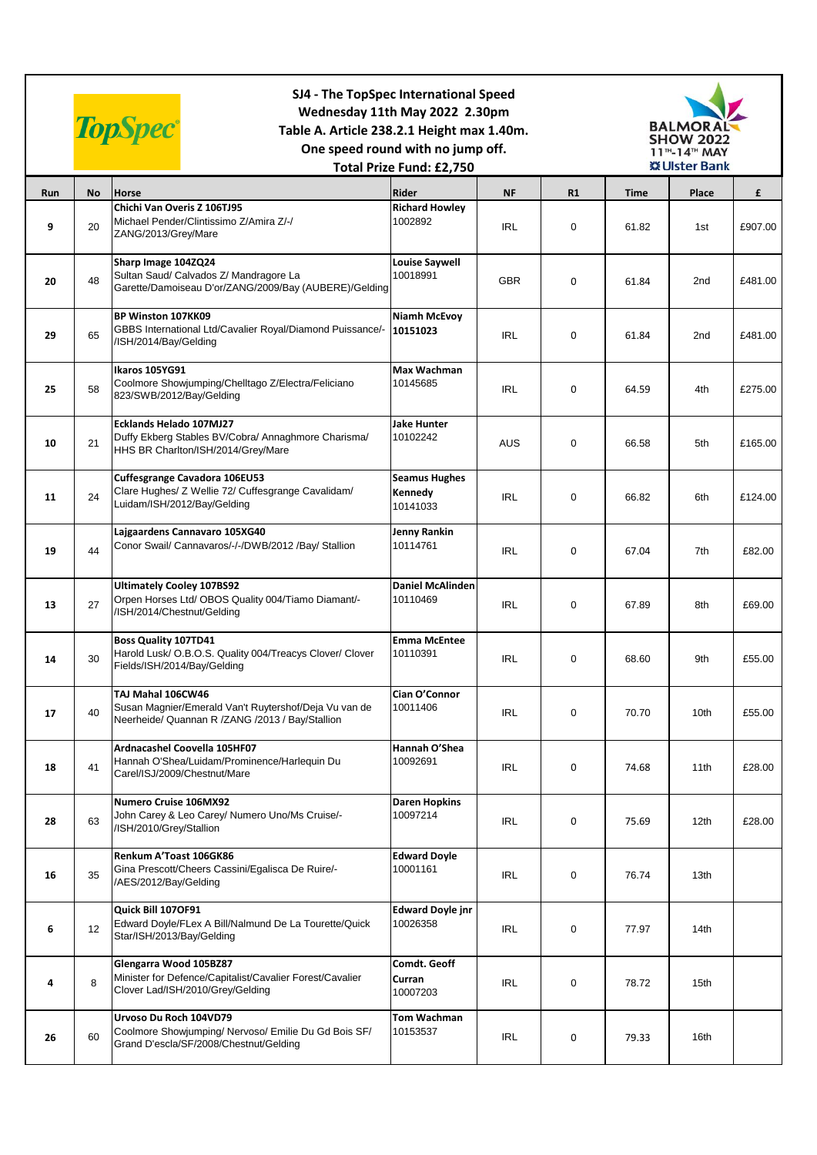|     | SJ4 - The TopSpec International Speed<br>Wednesday 11th May 2022 2.30pm<br><b>TopSpec®</b><br>Table A. Article 238.2.1 Height max 1.40m.<br>One speed round with no jump off.<br>Total Prize Fund: £2,750 |                                                                                                                               |                                             |            |    |       | <b>BALMORAL</b><br><b>SHOW 2022</b><br>11 <sup>TH</sup> -14 <sup>TH</sup> MAY<br><b>※Ulster Bank</b> |         |  |
|-----|-----------------------------------------------------------------------------------------------------------------------------------------------------------------------------------------------------------|-------------------------------------------------------------------------------------------------------------------------------|---------------------------------------------|------------|----|-------|------------------------------------------------------------------------------------------------------|---------|--|
| Run | <b>No</b>                                                                                                                                                                                                 | <b>Horse</b>                                                                                                                  | Rider                                       | <b>NF</b>  | R1 | Time  | Place                                                                                                | £       |  |
| 9   | 20                                                                                                                                                                                                        | Chichi Van Overis Z 106TJ95<br>Michael Pender/Clintissimo Z/Amira Z/-/<br>ZANG/2013/Grey/Mare                                 | <b>Richard Howley</b><br>1002892            | <b>IRL</b> | 0  | 61.82 | 1st                                                                                                  | £907.00 |  |
| 20  | 48                                                                                                                                                                                                        | Sharp Image 104ZQ24<br>Sultan Saud/ Calvados Z/ Mandragore La<br>Garette/Damoiseau D'or/ZANG/2009/Bay (AUBERE)/Gelding        | <b>Louise Saywell</b><br>10018991           | <b>GBR</b> | 0  | 61.84 | 2nd                                                                                                  | £481.00 |  |
| 29  | 65                                                                                                                                                                                                        | BP Winston 107KK09<br>GBBS International Ltd/Cavalier Royal/Diamond Puissance/-<br>/ISH/2014/Bay/Gelding                      | Niamh McEvoy<br>10151023                    | <b>IRL</b> | 0  | 61.84 | 2nd                                                                                                  | £481.00 |  |
| 25  | 58                                                                                                                                                                                                        | Ikaros 105YG91<br>Coolmore Showjumping/Chelltago Z/Electra/Feliciano<br>823/SWB/2012/Bay/Gelding                              | Max Wachman<br>10145685                     | <b>IRL</b> | 0  | 64.59 | 4th                                                                                                  | £275.00 |  |
| 10  | 21                                                                                                                                                                                                        | <b>Ecklands Helado 107MJ27</b><br>Duffy Ekberg Stables BV/Cobra/ Annaghmore Charisma/<br>HHS BR Charlton/ISH/2014/Grey/Mare   | <b>Jake Hunter</b><br>10102242              | AUS        | 0  | 66.58 | 5th                                                                                                  | £165.00 |  |
| 11  | 24                                                                                                                                                                                                        | Cuffesgrange Cavadora 106EU53<br>Clare Hughes/ Z Wellie 72/ Cuffesgrange Cavalidam/<br>Luidam/ISH/2012/Bay/Gelding            | <b>Seamus Hughes</b><br>Kennedy<br>10141033 | <b>IRL</b> | 0  | 66.82 | 6th                                                                                                  | £124.00 |  |
| 19  | 44                                                                                                                                                                                                        | Lajgaardens Cannavaro 105XG40<br>Conor Swail/ Cannavaros/-/-/DWB/2012 /Bay/ Stallion                                          | Jenny Rankin<br>10114761                    | <b>IRL</b> | 0  | 67.04 | 7th                                                                                                  | £82.00  |  |
| 13  | 27                                                                                                                                                                                                        | <b>Ultimately Cooley 107BS92</b><br>Orpen Horses Ltd/ OBOS Quality 004/Tiamo Diamant/-<br>/ISH/2014/Chestnut/Gelding          | <b>Daniel McAlinden</b><br>10110469         | <b>IRL</b> | 0  | 67.89 | 8th                                                                                                  | £69.00  |  |
| 14  | 30                                                                                                                                                                                                        | <b>Boss Quality 107TD41</b><br>Harold Lusk/ O.B.O.S. Quality 004/Treacys Clover/ Clover<br>Fields/ISH/2014/Bay/Gelding        | <b>Emma McEntee</b><br>10110391             | <b>IRL</b> | 0  | 68.60 | 9th                                                                                                  | £55.00  |  |
| 17  | 40                                                                                                                                                                                                        | TAJ Mahal 106CW46<br>Susan Magnier/Emerald Van't Ruytershof/Deja Vu van de<br>Neerheide/ Quannan R /ZANG /2013 / Bay/Stallion | Cian O'Connor<br>10011406                   | <b>IRL</b> | 0  | 70.70 | 10th                                                                                                 | £55.00  |  |
| 18  | 41                                                                                                                                                                                                        | Ardnacashel Coovella 105HF07<br>Hannah O'Shea/Luidam/Prominence/Harlequin Du<br>Carel/ISJ/2009/Chestnut/Mare                  | Hannah O'Shea<br>10092691                   | <b>IRL</b> | 0  | 74.68 | 11th                                                                                                 | £28.00  |  |
| 28  | 63                                                                                                                                                                                                        | Numero Cruise 106MX92<br>John Carey & Leo Carey/ Numero Uno/Ms Cruise/-<br>/ISH/2010/Grey/Stallion                            | <b>Daren Hopkins</b><br>10097214            | <b>IRL</b> | 0  | 75.69 | 12 <sub>th</sub>                                                                                     | £28.00  |  |
| 16  | 35                                                                                                                                                                                                        | Renkum A'Toast 106GK86<br>Gina Prescott/Cheers Cassini/Egalisca De Ruire/-<br>/AES/2012/Bay/Gelding                           | <b>Edward Doyle</b><br>10001161             | IRL        | 0  | 76.74 | 13th                                                                                                 |         |  |
| 6   | 12                                                                                                                                                                                                        | Quick Bill 107OF91<br>Edward Doyle/FLex A Bill/Nalmund De La Tourette/Quick<br>Star/ISH/2013/Bay/Gelding                      | <b>Edward Doyle jnr</b><br>10026358         | <b>IRL</b> | 0  | 77.97 | 14th                                                                                                 |         |  |
| 4   | 8                                                                                                                                                                                                         | Glengarra Wood 105BZ87<br>Minister for Defence/Capitalist/Cavalier Forest/Cavalier<br>Clover Lad/ISH/2010/Grey/Gelding        | Comdt. Geoff<br>Curran<br>10007203          | <b>IRL</b> | 0  | 78.72 | 15th                                                                                                 |         |  |
| 26  | 60                                                                                                                                                                                                        | Urvoso Du Roch 104VD79<br>Coolmore Showjumping/ Nervoso/ Emilie Du Gd Bois SF/<br>Grand D'escla/SF/2008/Chestnut/Gelding      | <b>Tom Wachman</b><br>10153537              | <b>IRL</b> | 0  | 79.33 | 16th                                                                                                 |         |  |